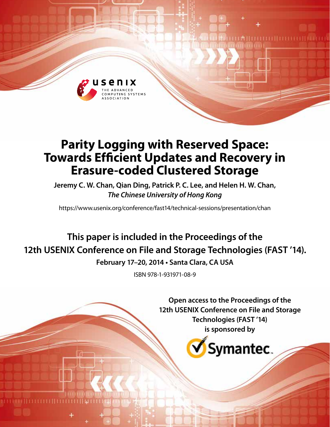

# **Parity Logging with Reserved Space: Towards Efficient Updates and Recovery in Erasure-coded Clustered Storage**

**Jeremy C. W. Chan, Qian Ding, Patrick P. C. Lee, and Helen H. W. Chan,**  *The Chinese University of Hong Kong*

https://www.usenix.org/conference/fast14/technical-sessions/presentation/chan

# **This paper is included in the Proceedings of the 12th USENIX Conference on File and Storage Technologies (FAST '14).**

**February 17–20, 2014 • Santa Clara, CA USA**

ISBN 978-1-931971-08-9

**Open access to the Proceedings of the 12th USENIX Conference on File and Storage Technologies (FAST '14) is sponsored by**

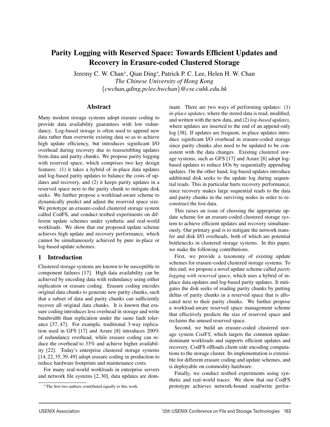# **Parity Logging with Reserved Space: Towards Efficient Updates and Recovery in Erasure-coded Clustered Storage**

Jeremy C. W. Chan<sup>∗</sup>, Qian Ding<sup>∗</sup> , Patrick P. C. Lee, Helen H. W. Chan *The Chinese University of Hong Kong* {*cwchan,qding,pclee,hwchan*}*@cse.cuhk.edu.hk*

# **Abstract**

Many modern storage systems adopt erasure coding to provide data availability guarantees with low redundancy. Log-based storage is often used to append new data rather than overwrite existing data so as to achieve high update efficiency, but introduces significant I/O overhead during recovery due to reassembling updates from data and parity chunks. We propose parity logging with reserved space, which comprises two key design features: (1) it takes a hybrid of in-place data updates and log-based parity updates to balance the costs of updates and recovery, and (2) it keeps parity updates in a reserved space next to the parity chunk to mitigate disk seeks. We further propose a workload-aware scheme to dynamically predict and adjust the reserved space size. We prototype an erasure-coded clustered storage system called CodFS, and conduct testbed experiments on different update schemes under synthetic and real-world workloads. We show that our proposed update scheme achieves high update and recovery performance, which cannot be simultaneously achieved by pure in-place or log-based update schemes.

# **1 Introduction**

Clustered storage systems are known to be susceptible to component failures [17]. High data availability can be achieved by encoding data with redundancy using either replication or erasure coding. Erasure coding encodes original data chunks to generate new parity chunks, such that a subset of data and parity chunks can sufficiently recover all original data chunks. It is known that erasure coding introduces less overhead in storage and write bandwidth than replication under the same fault tolerance [37, 47]. For example, traditional 3-way replication used in GFS [17] and Azure [8] introduces 200% of redundancy overhead, while erasure coding can reduce the overhead to 33% and achieve higher availability [22]. Today's enterprise clustered storage systems [14, 22, 35, 39, 49] adopt erasure coding in production to reduce hardware footprints and maintenance costs.

For many real-world workloads in enterprise servers and network file systems [2, 30], data updates are dominant. There are two ways of performing updates: (1) *in-place updates*, where the stored data is read, modified, and written with the new data, and (2) *log-based updates*, where updates are inserted to the end of an append-only log [38]. If updates are frequent, in-place updates introduce significant I/O overhead in erasure-coded storage since parity chunks also need to be updated to be consistent with the data changes. Existing clustered storage systems, such as GFS [17] and Azure [8] adopt logbased updates to reduce I/Os by sequentially appending updates. On the other hand, log-based updates introduce additional disk seeks to the update log during sequential reads. This in particular hurts recovery performance, since recovery makes large sequential reads to the data and parity chunks in the surviving nodes in order to reconstruct the lost data.

This raises an issue of choosing the appropriate update scheme for an erasure-coded clustered storage system to achieve efficient updates and recovery simultaneously. Our primary goal is to mitigate the network transfer and disk I/O overheads, both of which are potential bottlenecks in clustered storage systems. In this paper, we make the following contributions.

First, we provide a taxonomy of existing update schemes for erasure-coded clustered storage systems. To this end, we propose a novel update scheme called *parity logging with reserved space*, which uses a hybrid of inplace data updates and log-based parity updates. It mitigates the disk seeks of reading parity chunks by putting deltas of parity chunks in a reserved space that is allocated next to their parity chunks. We further propose a workload-aware reserved space management scheme that effectively predicts the size of reserved space and reclaims the unused reserved space.

Second, we build an erasure-coded clustered storage system *CodFS*, which targets the common updatedominant workloads and supports efficient updates and recovery. CodFS offloads client-side encoding computations to the storage cluster. Its implementation is extensible for different erasure coding and update schemes, and is deployable on commodity hardware.

Finally, we conduct testbed experiments using synthetic and real-world traces. We show that our CodFS prototype achieves network-bound read/write perfor-

<sup>∗</sup>The first two authors contributed equally to this work.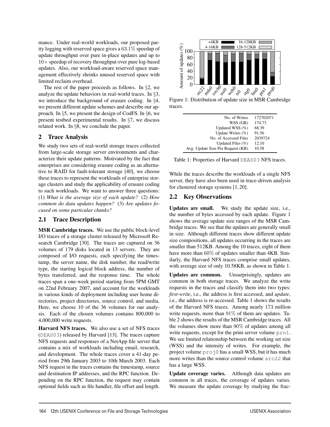mance. Under real-world workloads, our proposed parity logging with reserved space gives a 63.1% speedup of update throughput over pure in-place updates and up to  $10\times$  speedup of recovery throughput over pure log-based updates. Also, our workload-aware reserved space management effectively shrinks unused reserved space with limited reclaim overhead.

The rest of the paper proceeds as follows. In §2, we analyze the update behaviors in real-world traces. In §3, we introduce the background of erasure coding. In §4, we present different update schemes and describe our approach. In §5, we present the design of CodFS. In §6, we present testbed experimental results. In §7, we discuss related work. In §8, we conclude the paper.

# **2 Trace Analysis**

We study two sets of real-world storage traces collected from large-scale storage server environments and characterize their update patterns. Motivated by the fact that enterprises are considering erasure coding as an alternative to RAID for fault-tolerant storage [40], we choose these traces to represent the workloads of enterprise storage clusters and study the applicability of erasure coding to such workloads. We want to answer three questions: (1) *What is the average size of each update?* (2) *How common do data updates happen?* (3) *Are updates focused on some particular chunks?*

# **2.1 Trace Description**

**MSR Cambridge traces.** We use the public block-level I/O traces of a storage cluster released by Microsoft Research Cambridge [30]. The traces are captured on 36 volumes of 179 disks located in 13 servers. They are composed of I/O requests, each specifying the timestamp, the server name, the disk number, the read/write type, the starting logical block address, the number of bytes transferred, and the response time. The whole traces span a one-week period starting from 5PM GMT on 22nd February 2007, and account for the workloads in various kinds of deployment including user home directories, project directories, source control, and media. Here, we choose 10 of the 36 volumes for our analysis. Each of the chosen volumes contains 800,000 to 4,000,000 write requests.

**Harvard NFS traces.** We also use a set of NFS traces (DEAS03) released by Harvard [13]. The traces capture NFS requests and responses of a NetApp file server that contains a mix of workloads including email, research, and development. The whole traces cover a 41-day period from 29th January 2003 to 10th March 2003. Each NFS request in the traces contains the timestamp, source and destination IP addresses, and the RPC function. Depending on the RPC function, the request may contain optional fields such as file handler, file offset and length.



Figure 1: Distribution of update size in MSR Cambridge traces.

| No. of Writes                     | 172702071 |
|-----------------------------------|-----------|
| WSS (GB)                          | 174.73    |
| Updated WSS (%)                   | 68.39     |
| Update Writes $(\% )$             | 91.56     |
| No. of Accessed Files             | 2039724   |
| Updated Files $(\% )$             | 12.10     |
| Avg. Update Size Per Request (KB) | 10.58     |
|                                   |           |

Table 1: Properties of Harvard DEAS03 NFS traces.

While the traces describe the workloads of a single NFS server, they have also been used in trace-driven analysis for clustered storage systems [1, 20].

# **2.2 Key Observations**

**Updates are small.** We study the update size, i.e., the number of bytes accessed by each update. Figure 1 shows the average update size ranges of the MSR Cambridge traces. We see that the updates are generally small in size. Although different traces show different update size compositions, all updates occurring in the traces are smaller than 512KB. Among the 10 traces, eight of them have more than 60% of updates smaller than 4KB. Similarly, the Harvard NFS traces comprise small updates, with average size of only 10.58KB, as shown in Table 1.

**Updates are common.** Unsurprisingly, updates are common in both storage traces. We analyze the write requests in the traces and classify them into two types: *first-write*, i.e., the address is first accessed, and *update*, i.e., the address is re-accessed. Table 1 shows the results of the Harvard NFS traces. Among nearly 173 million write requests, more than  $91\%$  of them are updates. Table 2 shows the results of the MSR Cambridge traces. All the volumes show more than  $90\%$  of updates among all write requests, except for the print server volume  $prn1$ . We see limited relationship between the working set size (WSS) and the intensity of writes. For example, the project volume proj0 has a small WSS, but it has much more writes than the source control volume src22 that has a large WSS.

**Update coverage varies.** Although data updates are common in all traces, the coverage of updates varies. We measure the update coverage by studying the frac-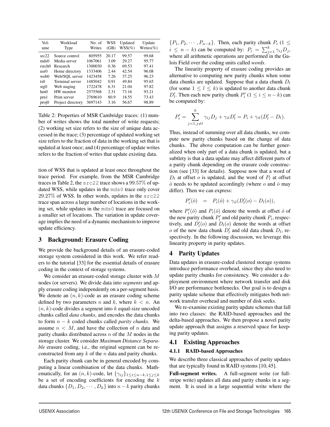| Vol-<br>ume | Workload<br>Type  | No. of<br>Writes | WSS<br>(GB) | Updated<br>$WSS(\%)$ | Update<br>Writes $(\%)$ |
|-------------|-------------------|------------------|-------------|----------------------|-------------------------|
| src22       | Source control    | 805955           | 20.17       | 99.57                | 99.68                   |
| mds0        | Media server      | 1067061          | 3.09        | 29.27                | 95.77                   |
| rsrch0      | Research          | 1300030          | 0.36        | 69.53                | 97.41                   |
| usr0        | Home directory    | 1333406          | 2.44        | 42.54                | 96.08                   |
| web0        | Web/SOL server    | 1423458          | 7.26        | 37.25                | 96.23                   |
| ts0         | Terminal server   | 1485042          | 0.91        | 49.84                | 95.65                   |
| stg0        | Web staging       | 1722478          | 6.31        | 21.04                | 97.82                   |
| hm()        | HW monitor        | 2575568          | 2.31        | 73.16                | 93.21                   |
| prn1        | Print server      | 2769610          | 80.9        | 18.55                | 73.43                   |
| proj0       | Project directory | 3697143          | 3.16        | 56.67                | 98.89                   |

Table 2: Properties of MSR Cambridge traces: (1) number of writes shows the total number of write requests; (2) working set size refers to the size of unique data accessed in the trace; (3) percentage of updated working set size refers to the fraction of data in the working set that is updated at least once; and (4) percentage of update writes refers to the fraction of writes that update existing data.

tion of WSS that is updated at least once throughout the trace period. For example, from the MSR Cambridge traces in Table 2, the src22 trace shows a 99.57% of updated WSS, while updates in the mds0 trace only cover 29.27% of WSS. In other words, updates in the src22 trace span across a large number of locations in the working set, while updates in the mds0 trace are focused on a smaller set of locations. The variation in update coverage implies the need of a dynamic mechanism to improve update efficiency.

# **3 Background: Erasure Coding**

We provide the background details of an erasure-coded storage system considered in this work. We refer readers to the tutorial [33] for the essential details of erasure coding in the context of storage systems.

We consider an erasure-coded storage cluster with M nodes (or servers). We divide data into *segments* and apply erasure coding independently on a per-segment basis. We denote an  $(n, k)$ -code as an erasure coding scheme defined by two parameters n and k, where  $k < n$ . An  $(n, k)$ -code divides a segment into k equal-size uncoded chunks called *data chunks*, and encodes the data chunks to form n − k coded chunks called *parity chunks*. We assume  $n < M$ , and have the collection of n data and parity chunks distributed across  $n$  of the  $M$  nodes in the storage cluster. We consider *Maximum Distance Separable* erasure coding, i.e., the original segment can be reconstructed from any  $k$  of the  $n$  data and parity chunks.

Each parity chunk can be in general encoded by computing a linear combination of the data chunks. Mathematically, for an  $(n, k)$ -code, let  $\{\gamma_{ij}\}_{1 \leq i \leq n-k, 1 \leq j \leq k}$ be a set of encoding coefficients for encoding the  $k$ data chunks  $\{D_1, D_2, \cdots, D_k\}$  into  $n - k$  parity chunks  $\{P_1, P_2, \cdots, P_{n-k}\}.$  Then, each parity chunk  $P_i$  (1  $\leq$  $i \leq n - k$ ) can be computed by:  $P_i = \sum_{j=1}^{k} \gamma_{ij} D_j$ , where all arithmetic operations are performed in the Galois Field over the coding units called *words*.

The linearity property of erasure coding provides an alternative to computing new parity chunks when some data chunks are updated. Suppose that a data chunk  $D_l$ (for some  $1 \leq l \leq k$ ) is updated to another data chunk  $D'_i$ . Then each new parity chunk  $P'_i$  ( $1 \le i \le n - k$ ) can be computed by:

$$
P_i' = \sum_{j=1, j\neq l}^k \gamma_{ij} D_j + \gamma_{il} D_l' = P_i + \gamma_{il} (D_l' - D_l).
$$

Thus, instead of summing over all data chunks, we compute new parity chunks based on the change of data chunks. The above computation can be further generalized when only part of a data chunk is updated, but a subtlety is that a data update may affect different parts of a parity chunk depending on the erasure code construction (see [33] for details). Suppose now that a word of  $D_l$  at offset o is updated, and the word of  $P_l$  at offset  $\hat{o}$  needs to be updated accordingly (where  $o$  and  $\hat{o}$  may differ). Then we can express:

$$
P'_{i}(\hat{o}) = P_{i}(\hat{o}) + \gamma_{il}(D'_{l}(o) - D_{l}(o)),
$$

where  $P'_i(\hat{o})$  and  $P_i(\hat{o})$  denote the words at offset  $\hat{o}$  of the new parity chunk  $P'_i$  and old parity chunk  $P_i$ , respectively, and  $D_l'(o)$  and  $D_l(o)$  denote the words at offset  $o$  of the new data chunk  $D'_l$  and old data chunk  $D_l$ , respectively. In the following discussion, we leverage this linearity property in parity updates.

# **4 Parity Updates**

Data updates in erasure-coded clustered storage systems introduce performance overhead, since they also need to update parity chunks for consistency. We consider a deployment environment where network transfer and disk I/O are performance bottlenecks. Our goal is to design a parity update scheme that effectively mitigates both network transfer overhead and number of disk seeks.

We re-examine existing parity update schemes that fall into two classes: the RAID-based approaches and the delta-based approaches. We then propose a novel parity update approach that assigns a reserved space for keeping parity updates.

## **4.1 Existing Approaches**

## **4.1.1 RAID-based Approaches**

We describe three classical approaches of parity updates that are typically found in RAID systems [10, 45].

**Full-segment writes.** A full-segment write (or fullstripe write) updates all data and parity chunks in a segment. It is used in a large sequential write where the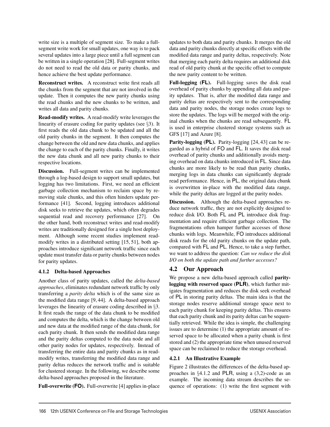write size is a multiple of segment size. To make a fullsegment write work for small updates, one way is to pack several updates into a large piece until a full segment can be written in a single operation [28]. Full-segment writes do not need to read the old data or parity chunks, and hence achieve the best update performance.

**Reconstruct writes.** A reconstruct write first reads all the chunks from the segment that are not involved in the update. Then it computes the new parity chunks using the read chunks and the new chunks to be written, and writes all data and parity chunks.

**Read-modify writes.** A read-modify write leverages the linearity of erasure coding for parity updates (see §3). It first reads the old data chunk to be updated and all the old parity chunks in the segment. It then computes the change between the old and new data chunks, and applies the change to each of the parity chunks. Finally, it writes the new data chunk and all new parity chunks to their respective locations.

**Discussion.** Full-segment writes can be implemented through a log-based design to support small updates, but logging has two limitations. First, we need an efficient garbage collection mechanism to reclaim space by removing stale chunks, and this often hinders update performance [41]. Second, logging introduces additional disk seeks to retrieve the updates, which often degrades sequential read and recovery performance [27]. On the other hand, both reconstruct writes and read-modify writes are traditionally designed for a single host deployment. Although some recent studies implement readmodify writes in a distributed setting [15, 51], both approaches introduce significant network traffic since each update must transfer data or parity chunks between nodes for parity updates.

# **4.1.2 Delta-based Approaches**

Another class of parity updates, called the *delta-based approaches*, eliminates redundant network traffic by only transferring a *parity delta* which is of the same size as the modified data range [9, 44]. A delta-based approach leverages the linearity of erasure coding described in §3. It first reads the range of the data chunk to be modified and computes the delta, which is the change between old and new data at the modified range of the data chunk, for each parity chunk. It then sends the modified data range and the parity deltas computed to the data node and all other parity nodes for updates, respectively. Instead of transferring the entire data and parity chunks as in readmodify writes, transferring the modified data range and parity deltas reduces the network traffic and is suitable for clustered storage. In the following, we describe some delta-based approaches proposed in the literature.

**Full-overwrite (FO).** Full-overwrite [4] applies in-place

updates to both data and parity chunks. It merges the old data and parity chunks directly at specific offsets with the modified data range and parity deltas, respectively. Note that merging each parity delta requires an additional disk read of old parity chunk at the specific offset to compute the new parity content to be written.

**Full-logging (FL).** Full-logging saves the disk read overhead of parity chunks by appending all data and parity updates. That is, after the modified data range and parity deltas are respectively sent to the corresponding data and parity nodes, the storage nodes create logs to store the updates. The logs will be merged with the original chunks when the chunks are read subsequently. FL is used in enterprise clustered storage systems such as GFS [17] and Azure [8].

**Parity-logging (PL).** Parity-logging [24, 43] can be regarded as a hybrid of FO and FL. It saves the disk read overhead of parity chunks and additionally avoids merging overhead on data chunks introduced in FL. Since data chunks are more likely to be read than parity chunks, merging logs in data chunks can significantly degrade read performance. Hence, in PL, the original data chunk is overwritten in-place with the modified data range, while the parity deltas are logged at the parity nodes.

**Discussion.** Although the delta-based approaches reduce network traffic, they are not explicitly designed to reduce disk I/O. Both FL and PL introduce disk fragmentation and require efficient garbage collection. The fragmentations often hamper further accesses of those chunks with logs. Meanwhile, FO introduces additional disk reads for the old parity chunks on the update path, compared with FL and PL. Hence, to take a step further, we want to address the question: *Can we reduce the disk I/O on both the update path and further accesses?*

# **4.2 Our Approach**

We propose a new delta-based approach called **paritylogging with reserved space (PLR)**, which further mitigates fragmentation and reduces the disk seek overhead of PL in storing parity deltas. The main idea is that the storage nodes reserve additional storage space next to each parity chunk for keeping parity deltas. This ensures that each parity chunk and its parity deltas can be sequentially retrieved. While the idea is simple, the challenging issues are to determine (1) the appropriate amount of reserved space to be allocated when a parity chunk is first stored and (2) the appropriate time when unused reserved space can be reclaimed to reduce the storage overhead.

# **4.2.1 An Illustrative Example**

Figure 2 illustrates the differences of the delta-based approaches in §4.1.2 and PLR, using a (3,2)-code as an example. The incoming data stream describes the sequence of operations: (1) write the first segment with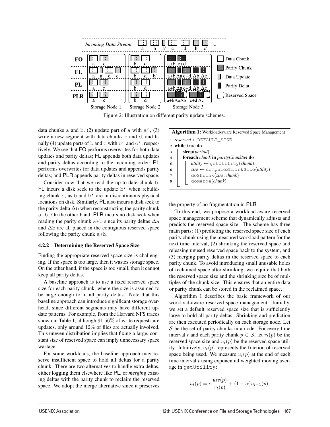

Figure 2: Illustration on different parity update schemes.

data chunks a and b,  $(2)$  update part of a with a',  $(3)$ write a new segment with data chunks c and d, and finally (4) update parts of b and c with b' and  $c'$ , respectively. We see that FO performs overwrites for both data updates and parity deltas; FL appends both data updates and parity deltas according to the incoming order; PL performs overwrites for data updates and appends parity deltas; and PLR appends parity deltas in reserved space.

Consider now that we read the up-to-date chunk b. FL incurs a disk seek to the update b' when rebuilding chunk b, as b and b' are in discontinuous physical locations on disk. Similarly, PL also incurs a disk seek to the parity delta  $\Delta$ b when reconstructing the parity chunk a+b. On the other hand, PLR incurs no disk seek when reading the parity chunk a+b since its parity deltas  $\Delta a$ and ∆b are all placed in the contiguous reserved space following the parity chunk a+b.

#### **4.2.2 Determining the Reserved Space Size**

Finding the appropriate reserved space size is challenging. If the space is too large, then it wastes storage space. On the other hand, if the space is too small, then it cannot keep all parity deltas.

A baseline approach is to use a fixed reserved space size for each parity chunk, where the size is assumed to be large enough to fit all parity deltas. Note that this baseline approach can introduce significant storage overhead, since different segments may have different update patterns. For example, from the Harvard NFS traces shown in Table 1, although 91.56% of write requests are updates, only around 12% of files are actually involved. This uneven distribution implies that fixing a large, constant size of reserved space can imply unnecessary space wastage.

For some workloads, the baseline approach may reserve insufficient space to hold all deltas for a parity chunk. There are two alternatives to handle extra deltas, either logging them elsewhere like PL, or *merging* existing deltas with the parity chunk to reclaim the reserved space. We adopt the merge alternative since it preserves

| Algorithm 1: Workload-aware Reserved Space Management |                                              |  |  |  |  |
|-------------------------------------------------------|----------------------------------------------|--|--|--|--|
|                                                       | 1 $reserved \leftarrow$ DEFAULT SIZE         |  |  |  |  |
| while true do                                         |                                              |  |  |  |  |
| 3                                                     | sleep(period)                                |  |  |  |  |
| $\overline{\mathbf{4}}$                               | foreach chunk in parityChunkSet do           |  |  |  |  |
| 5                                                     | utility $\leftarrow$ getUtility(chunk)       |  |  |  |  |
| -6                                                    | $size \leftarrow$ computeShrinkSize(utility) |  |  |  |  |
|                                                       | doshrink(size, chunk)                        |  |  |  |  |
|                                                       | doMerge(chunk)                               |  |  |  |  |
|                                                       |                                              |  |  |  |  |

the property of no fragmentation in PLR.

To this end, we propose a workload-aware reserved space management scheme that dynamically adjusts and predicts the reserved space size. The scheme has three main parts: (1) predicting the reserved space size of each parity chunk using the measured workload pattern for the next time interval, (2) shrinking the reserved space and releasing unused reserved space back to the system, and (3) merging parity deltas in the reserved space to each parity chunk. To avoid introducing small unusable holes of reclaimed space after shrinking, we require that both the reserved space size and the shrinking size be of multiples of the chunk size. This ensures that an entire data or parity chunk can be stored in the reclaimed space.

Algorithm 1 describes the basic framework of our workload-aware reserved space management. Initially, we set a default reserved space size that is sufficiently large to hold all parity deltas. Shrinking and prediction are then executed periodically on each storage node. Let  $S$  be the set of parity chunks in a node. For every time interval t and each parity chunk  $p \in S$ , let  $r_t(p)$  be the reserved space size and  $u_t(p)$  be the reserved space utility. Intuitively,  $u_t(p)$  represents the fraction of reserved space being used. We measure  $u_t(p)$  at the end of each time interval  $t$  using exponential weighted moving average in getUtility:

$$
u_t(p) = \alpha \frac{\iota tse(p)}{r_t(p)} + (1 - \alpha)u_{t-1}(p),
$$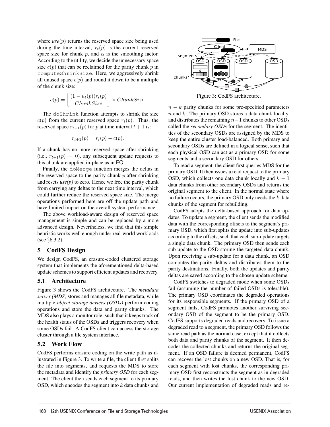where  $use(p)$  returns the reserved space size being used during the time interval,  $r_t(p)$  is the current reserved space size for chunk p, and  $\alpha$  is the smoothing factor. According to the utility, we decide the unnecessary space size  $c(p)$  that can be reclaimed for the parity chunk p in computeShrinkSize. Here, we aggressively shrink all unused space  $c(p)$  and round it down to be a multiple of the chunk size:

$$
c(p) = \left\lfloor \frac{(1 - u_t(p))r_t(p)}{ChunkSize} \right\rfloor \times ChunkSize.
$$

The doShrink function attempts to shrink the size  $c(p)$  from the current reserved space  $r_t(p)$ . Thus, the reserved space  $r_{t+1}(p)$  for p at time interval  $t + 1$  is:

$$
r_{t+1}(p) = r_t(p) - c(p).
$$

If a chunk has no more reserved space after shrinking (i.e.,  $r_{t+1}(p)=0$ ), any subsequent update requests to this chunk are applied in-place as in FO.

Finally, the doMerge function merges the deltas in the reserved space to the parity chunk  $p$  after shrinking and resets  $use(p)$  to zero. Hence we free the parity chunk from carrying any deltas to the next time interval, which could further reduce the reserved space size. The merge operations performed here are off the update path and have limited impact on the overall system performance.

The above workload-aware design of reserved space management is simple and can be replaced by a more advanced design. Nevertheless, we find that this simple heuristic works well enough under real-world workloads (see §6.3.2).

## **5 CodFS Design**

We design CodFS, an erasure-coded clustered storage system that implements the aforementioned delta-based update schemes to support efficient updates and recovery.

# **5.1 Architecture**

Figure 3 shows the CodFS architecture. The *metadata server (MDS)* stores and manages all file metadata, while multiple *object storage devices (OSDs)* perform coding operations and store the data and parity chunks. The MDS also plays a monitor role, such that it keeps track of the health status of the OSDs and triggers recovery when some OSDs fail. A CodFS client can access the storage cluster through a file system interface.

# **5.2 Work Flow**

CodFS performs erasure coding on the write path as illustrated in Figure 3. To write a file, the client first splits the file into segments, and requests the MDS to store the metadata and identify the *primary OSD* for each segment. The client then sends each segment to its primary OSD, which encodes the segment into  $k$  data chunks and

![](_page_6_Figure_13.jpeg)

Figure 3: CodFS architecture.

 $n - k$  parity chunks for some pre-specified parameters  $n$  and  $k$ . The primary OSD stores a data chunk locally, and distributes the remaining  $n-1$  chunks to other OSDs called the *secondary OSDs* for the segment. The identities of the secondary OSDs are assigned by the MDS to keep the entire cluster load-balanced. Both primary and secondary OSDs are defined in a logical sense, such that each physical OSD can act as a primary OSD for some segments and a secondary OSD for others.

To read a segment, the client first queries MDS for the primary OSD. It then issues a read request to the primary OSD, which collects one data chunk locally and  $k - 1$ data chunks from other secondary OSDs and returns the original segment to the client. In the normal state where no failure occurs, the primary OSD only needs the  $k$  data chunks of the segment for rebuilding.

CodFS adopts the delta-based approach for data updates. To update a segment, the client sends the modified data with the corresponding offsets to the segment's primary OSD, which first splits the update into sub-updates according to the offsets, such that each sub-update targets a single data chunk. The primary OSD then sends each sub-update to the OSD storing the targeted data chunk. Upon receiving a sub-update for a data chunk, an OSD computes the parity deltas and distributes them to the parity destinations. Finally, both the updates and parity deltas are saved according to the chosen update scheme.

CodFS switches to degraded mode when some OSDs fail (assuming the number of failed OSDs is tolerable). The primary OSD coordinates the degraded operations for its responsible segments. If the primary OSD of a segment fails, CodFS promotes another surviving secondary OSD of the segment to be the primary OSD. CodFS supports degraded reads and recovery. To issue a degraded read to a segment, the primary OSD follows the same read path as the normal case, except that it collects both data and parity chunks of the segment. It then decodes the collected chunks and returns the original segment. If an OSD failure is deemed permanent, CodFS can recover the lost chunks on a new OSD. That is, for each segment with lost chunks, the corresponding primary OSD first reconstructs the segment as in degraded reads, and then writes the lost chunk to the new OSD. Our current implementation of degraded reads and re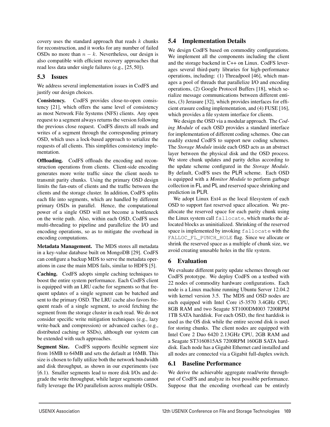covery uses the standard approach that reads  $k$  chunks for reconstruction, and it works for any number of failed OSDs no more than  $n - k$ . Nevertheless, our design is also compatible with efficient recovery approaches that read less data under single failures (e.g., [25, 50]).

# **5.3 Issues**

We address several implementation issues in CodFS and justify our design choices.

**Consistency.** CodFS provides close-to-open consistency [21], which offers the same level of consistency as most Network File Systems (NFS) clients. Any open request to a segment always returns the version following the previous close request. CodFS directs all reads and writes of a segment through the corresponding primary OSD, which uses a lock-based approach to serialize the requests of all clients. This simplifies consistency implementation.

**Offloading.** CodFS offloads the encoding and reconstruction operations from clients. Client-side encoding generates more write traffic since the client needs to transmit parity chunks. Using the primary OSD design limits the fan-outs of clients and the traffic between the clients and the storage cluster. In addition, CodFS splits each file into segments, which are handled by different primary OSDs in parallel. Hence, the computational power of a single OSD will not become a bottleneck on the write path. Also, within each OSD, CodFS uses multi-threading to pipeline and parallelize the I/O and encoding operations, so as to mitigate the overhead in encoding computations.

**Metadata Management.** The MDS stores all metadata in a key-value database built on MongoDB [29]. CodFS can configure a backup MDS to serve the metadata operations in case the main MDS fails, similar to HDFS [5].

**Caching.** CodFS adopts simple caching techniques to boost the entire system performance. Each CodFS client is equipped with an LRU cache for segments so that frequent updates of a single segment can be batched and sent to the primary OSD. The LRU cache also favors frequent reads of a single segment, to avoid fetching the segment from the storage cluster in each read. We do not consider specific write mitigation techniques (e.g., lazy write-back and compression) or advanced caches (e.g., distributed caching or SSDs), although our system can be extended with such approaches.

Segment Size. CodFS supports flexible segment size from 16MB to 64MB and sets the default at 16MB. This size is chosen to fully utilize both the network bandwidth and disk throughput, as shown in our experiments (see §6.1). Smaller segments lead to more disk I/Os and degrade the write throughput, while larger segments cannot fully leverage the I/O parallelism across multiple OSDs.

# **5.4 Implementation Details**

We design CodFS based on commodity configurations. We implement all the components including the client and the storage backend in C++ on Linux. CodFS leverages several third-party libraries for high-performance operations, including: (1) Threadpool [46], which manages a pool of threads that parallelize I/O and encoding operations, (2) Google Protocol Buffers [18], which serialize message communications between different entities, (3) Jerasure [32], which provides interfaces for efficient erasure coding implementation, and (4) FUSE [16], which provides a file system interface for clients.

We design the OSD via a modular approach. The *Coding Module* of each OSD provides a standard interface for implementation of different coding schemes. One can readily extend CodFS to support new coding schemes. The *Storage Module* inside each OSD acts as an abstract layer between the physical disk and the OSD process. We store chunk updates and parity deltas according to the update scheme configured in the *Storage Module*. By default, CodFS uses the PLR scheme. Each OSD is equipped with a *Monitor Module* to perform garbage collection in FL and PL and reserved space shrinking and prediction in PLR.

We adopt Linux Ext4 as the local filesystem of each OSD to support fast reserved space allocation. We preallocate the reserved space for each parity chunk using the Linux system call fallocate, which marks the allocated blocks as uninitialized. Shrinking of the reserved space is implemented by invoking fallocate with the FALLOC\_FL\_PUNCH\_HOLE flag. Since we allocate or shrink the reserved space as a multiple of chunk size, we avoid creating unusable holes in the file system.

# **6 Evaluation**

We evaluate different parity update schemes through our CodFS prototype. We deploy CodFS on a testbed with 22 nodes of commodity hardware configurations. Each node is a Linux machine running Ubuntu Server 12.04.2 with kernel version 3.5. The MDS and OSD nodes are each equipped with Intel Core i5-3570 3.4GHz CPU, 8GB RAM and two Seagate ST1000DM003 7200RPM 1TB SATA harddisk. For each OSD, the first harddisk is used as the OS disk while the entire second disk is used for storing chunks. The client nodes are equipped with Intel Core 2 Duo 6420 2.13GHz CPU, 2GB RAM and a Seagate ST3160815AS 7200RPM 160GB SATA harddisk. Each node has a Gigabit Ethernet card installed and all nodes are connected via a Gigabit full-duplex switch.

# **6.1 Baseline Performance**

We derive the achievable aggregate read/write throughput of CodFS and analyze its best possible performance. Suppose that the encoding overhead can be entirely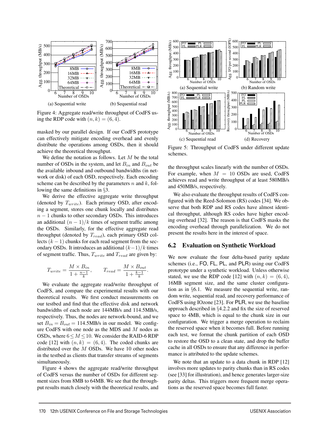![](_page_8_Figure_0.jpeg)

Figure 4: Aggregate read/write throughput of CodFS using the RDP code with  $(n, k) = (6, 4)$ .

masked by our parallel design. If our CodFS prototype can effectively mitigate encoding overhead and evenly distribute the operations among OSDs, then it should achieve the theoretical throughput.

We define the notation as follows. Let  $M$  be the total number of OSDs in the system, and let  $B_{in}$  and  $B_{out}$  be the available inbound and outbound bandwidths (in network or disk) of each OSD, respectively. Each encoding scheme can be described by the parameters  $n$  and  $k$ , following the same definitions in §3.

We derive the effective aggregate write throughput (denoted by  $T_{write}$ ). Each primary OSD, after encoding a segment, stores one chunk locally and distributes  $n - 1$  chunks to other secondary OSDs. This introduces an additional  $(n - 1)/k$  times of segment traffic among the OSDs. Similarly, for the effective aggregate read throughput (denoted by  $T_{read}$ ), each primary OSD collects  $(k - 1)$  chunks for each read segment from the secondary OSDs. It introduces an additional  $(k-1)/k$  times of segment traffic. Thus,  $T_{write}$  and  $T_{read}$  are given by:

$$
T_{write} = \frac{M \times B_{in}}{1 + \frac{n-1}{k}}, \qquad T_{read} = \frac{M \times B_{out}}{1 + \frac{k-1}{k}}.
$$

We evaluate the aggregate read/write throughput of CodFS, and compare the experimental results with our theoretical results. We first conduct measurements on our testbed and find that the effective disk and network bandwidths of each node are 144MB/s and 114.5MB/s, respectively. Thus, the nodes are network-bound, and we set  $B_{in} = B_{out} = 114.5 \text{MB/s}$  in our model. We configure CodFS with one node as the MDS and M nodes as OSDs, where  $6 < M < 10$ . We consider the RAID-6 RDP code [12] with  $(n, k) = (6, 4)$ . The coded chunks are distributed over the  $M$  OSDs. We have 10 other nodes in the testbed as clients that transfer streams of segments simultaneously.

Figure 4 shows the aggregate read/write throughput of CodFS versus the number of OSDs for different segment sizes from 8MB to 64MB. We see that the throughput results match closely with the theoretical results, and

![](_page_8_Figure_8.jpeg)

Figure 5: Throughput of CodFS under different update schemes.

the throughput scales linearly with the number of OSDs. For example, when  $M = 10$  OSDs are used, CodFS achieves read and write throughput of at least 580MB/s and 450MB/s, respectively.

We also evaluate the throughput results of CodFS configured with the Reed-Solomon (RS) codes [34]. We observe that both RDP and RS codes have almost identical throughput, although RS codes have higher encoding overhead [32]. The reason is that CodFS masks the encoding overhead through parallelization. We do not present the results here in the interest of space.

## **6.2 Evaluation on Synthetic Workload**

We now evaluate the four delta-based parity update schemes (i.e., FO, FL, PL, and PLR) using our CodFS prototype under a synthetic workload. Unless otherwise stated, we use the RDP code [12] with  $(n, k) = (6, 4)$ , 16MB segment size, and the same cluster configuration as in §6.1. We measure the sequential write, random write, sequential read, and recovery performance of CodFS using IOzone [23]. For PLR, we use the baseline approach described in §4.2.2 and fix the size of reserved space to 4MB, which is equal to the chunk size in our configuration. We trigger a merge operation to reclaim the reserved space when it becomes full. Before running each test, we format the chunk partition of each OSD to restore the OSD to a clean state, and drop the buffer cache in all OSDs to ensure that any difference in performance is attributed to the update schemes.

We note that an update to a data chunk in RDP [12] involves more updates to parity chunks than in RS codes (see [33] for illustration), and hence generates larger-size parity deltas. This triggers more frequent merge operations as the reserved space becomes full faster.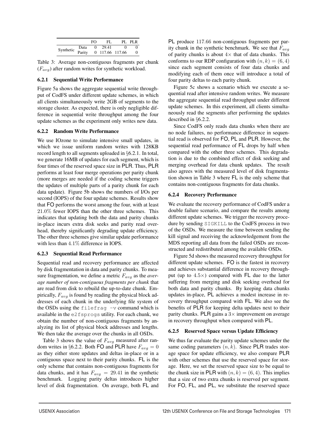|                               |      | FΩ | FL.             | PI. PI.R |
|-------------------------------|------|----|-----------------|----------|
| Synthetic $\overline{Parity}$ | Data |    | 29.41           |          |
|                               |      |    | 0 117.66 117.66 |          |

Table 3: Average non-contiguous fragments per chunk  $(F_{avg})$  after random writes for synthetic workload.

#### **6.2.1 Sequential Write Performance**

Figure 5a shows the aggregate sequential write throughput of CodFS under different update schemes, in which all clients simultaneously write 2GB of segments to the storage cluster. As expected, there is only negligible difference in sequential write throughput among the four update schemes as the experiment only writes new data.

#### **6.2.2 Random Write Performance**

We use IOzone to simulate intensive small updates, in which we issue uniform random writes with 128KB record length to all segments uploaded in §6.2.1. In total, we generate 16MB of updates for each segment, which is four times of the reserved space size in PLR. Thus, PLR performs at least four merge operations per parity chunk (more merges are needed if the coding scheme triggers the updates of multiple parts of a parity chunk for each data update). Figure 5b shows the numbers of I/Os per second (IOPS) of the four update schemes. Results show that FO performs the worst among the four, with at least 21.0% fewer IOPS than the other three schemes. This indicates that updating both the data and parity chunks in-place incurs extra disk seeks and parity read overhead, thereby significantly degrading update efficiency. The other three schemes give similar update performance with less than 4.1% difference in IOPS.

## **6.2.3 Sequential Read Performance**

Sequential read and recovery performance are affected by disk fragmentation in data and parity chunks. To measure fragmentation, we define a metric  $F_{avg}$  as the *average number of non-contiguous fragments per chunk* that are read from disk to rebuild the up-to-date chunk. Empirically,  $F_{avg}$  is found by reading the physical block addresses of each chunk in the underlying file system of the OSDs using the filefrag  $-v$  command which is available in the e2fsprogs utility. For each chunk, we obtain the number of non-contiguous fragments by analyzing its list of physical block addresses and lengths. We then take the average over the chunks in all OSDs.

Table 3 shows the value of  $F_{avg}$  measured after random writes in §6.2.2. Both FO and PLR have  $F_{avg} = 0$ as they either store updates and deltas in-place or in a contiguous space next to their parity chunks. FL is the only scheme that contains non-contiguous fragments for data chunks, and it has  $F_{avg} = 29.41$  in the synthetic benchmark. Logging parity deltas introduces higher level of disk fragmentation. On average, both FL and

PL produce 117.66 non-contiguous fragments per parity chunk in the synthetic benchmark. We see that  $F_{avg}$ of parity chunks is about  $4\times$  that of data chunks. This conforms to our RDP configuration with  $(n, k) = (6, 4)$ since each segment consists of four data chunks and modifying each of them once will introduce a total of four parity deltas to each parity chunk.

Figure 5c shows a scenario which we execute a sequential read after intensive random writes. We measure the aggregate sequential read throughput under different update schemes. In this experiment, all clients simultaneously read the segments after performing the updates described in §6.2.2.

Since CodFS only reads data chunks when there are no node failures, no performance difference in sequential read is observed for FO, PL and PLR. However, the sequential read performance of FL drops by half when compared with the other three schemes. This degradation is due to the combined effect of disk seeking and merging overhead for data chunk updates. The result also agrees with the measured level of disk fragmentation shown in Table 3 where FL is the only scheme that contains non-contiguous fragments for data chunks.

## **6.2.4 Recovery Performance**

We evaluate the recovery performance of CodFS under a double failure scenario, and compare the results among different update schemes. We trigger the recovery procedure by sending SIGKILL to the CodFS process in two of the OSDs. We measure the time between sending the kill signal and receiving the acknowledgement from the MDS reporting all data from the failed OSDs are reconstructed and redistributed among the available OSDs.

Figure 5d shows the measured recovery throughput for different update schemes. FO is the fastest in recovery and achieves substantial difference in recovery throughput (up to  $4.5\times$ ) compared with FL due to the latter suffering from merging and disk seeking overhead for both data and parity chunks. By keeping data chunks updates in-place, PL achieves a modest increase in recovery throughput compared with FL. We also see the benefits of PLR for keeping delta updates next to their parity chunks. PLR gains a  $3\times$  improvement on average in recovery throughput when compared with PL.

#### **6.2.5 Reserved Space versus Update Efficiency**

We thus far evaluate the parity update schemes under the same coding parameters  $(n, k)$ . Since PLR trades storage space for update efficiency, we also compare PLR with other schemes that use the reserved space for storage. Here, we set the reserved space size to be equal to the chunk size in PLR with  $(n, k) = (6, 4)$ . This implies that a size of two extra chunks is reserved per segment. For FO, FL, and PL, we substitute the reserved space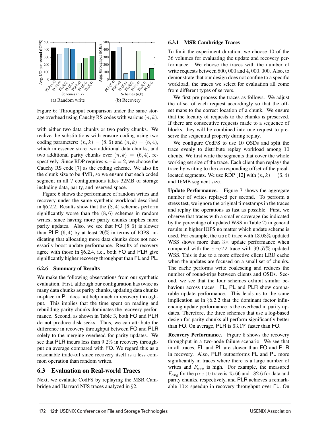![](_page_10_Figure_0.jpeg)

Figure 6: Throughput comparison under the same storage overhead using Cauchy RS codes with various  $(n, k)$ .

with either two data chunks or two parity chunks. We realize the substitutions with erasure coding using two coding parameters:  $(n, k) = (8, 6)$  and  $(n, k) = (8, 4)$ , which in essence store two additional data chunks, and two additional parity chunks over  $(n, k) = (6, 4)$ , respectively. Since RDP requires  $n-k = 2$ , we choose the Cauchy RS code [7] as the coding scheme. We also fix the chunk size to be 4MB, so we ensure that each coded segment in all 7 configurations takes 32MB of storage including data, parity, and reserved space.

Figure 6 shows the performance of random writes and recovery under the same synthetic workload described in  $\S 6.2.2$ . Results show that the  $(8, 4)$  schemes perform significantly worse than the  $(8, 6)$  schemes in random writes, since having more parity chunks implies more parity updates. Also, we see that  $FO(8, 6)$  is slower than PLR  $(6, 4)$  by at least  $20\%$  in terms of IOPS, indicating that allocating more data chunks does not necessarily boost update performance. Results of recovery agree with those in §6.2.4, i.e., both FO and PLR give significantly higher recovery throughput than FL and PL.

## **6.2.6 Summary of Results**

We make the following observations from our synthetic evaluation. First, although our configuration has twice as many data chunks as parity chunks, updating data chunks in-place in PL does not help much in recovery throughput. This implies that the time spent on reading and rebuilding parity chunks dominates the recovery performance. Second, as shown in Table 3, both FO and PLR do not produce disk seeks. Thus, we can attribute the difference in recovery throughput between FO and PLR solely to the merging overhead for parity updates. We see that PLR incurs less than 9.2% in recovery throughput on average compared with FO. We regard this as a reasonable trade-off since recovery itself is a less common operation than random writes.

# **6.3 Evaluation on Real-world Traces**

Next, we evaluate CodFS by replaying the MSR Cambridge and Harvard NFS traces analyzed in §2.

#### **6.3.1 MSR Cambridge Traces**

To limit the experiment duration, we choose 10 of the 36 volumes for evaluating the update and recovery performance. We choose the traces with the number of write requests between 800, 000 and 4, 000, 000. Also, to demonstrate that our design does not confine to a specific workload, the traces we select for evaluation all come from different types of servers.

We first pre-process the traces as follows. We adjust the offset of each request accordingly so that the offset maps to the correct location of a chunk. We ensure that the locality of requests to the chunks is preserved. If there are consecutive requests made to a sequence of blocks, they will be combined into one request to preserve the sequential property during replay.

We configure CodFS to use 10 OSDs and split the trace evenly to distribute replay workload among 10 clients. We first write the segments that cover the whole working set size of the trace. Each client then replays the trace by writing to the corresponding offset of the preallocated segments. We use RDP [12] with  $(n, k) = (6, 4)$ and 16MB segment size.

**Update Performance.** Figure 7 shows the aggregate number of writes replayed per second. To perform a stress test, we ignore the original timestamps in the traces and replay the operations as fast as possible. First, we observe that traces with a smaller coverage (as indicated by the percentage of updated WSS in Table 2) in general results in higher IOPS no matter which update scheme is used. For example, the usr0 trace with  $13.08\%$  updated WSS shows more than  $3\times$  update performance when compared with the src22 trace with 99.57% updated WSS. This is due to a more effective client LRU cache when the updates are focused on a small set of chunks. The cache performs write coalescing and reduces the number of round-trips between clients and OSDs. Second, we see that the four schemes exhibit similar behaviour across traces. FL, PL and PLR show comparable update performance. This leads us to the same implication as in §6.2.2 that the dominant factor influencing update performance is the overhead in parity updates. Therefore, the three schemes that use a log-based design for parity chunks all perform significantly better than FO. On average, PLR is 63.1% faster than FO.

**Recovery Performance.** Figure 8 shows the recovery throughput in a two-node failure scenario. We see that in all traces, FL and PL are slower than FO and PLR in recovery. Also, PLR outperforms FL and PL more significantly in traces where there is a large number of writes and  $F_{avg}$  is high. For example, the measured  $F_{avg}$  for the proj0 trace is 45.66 and 182.6 for data and parity chunks, respectively, and PLR achieves a remarkable  $10\times$  speedup in recovery throughput over FL. On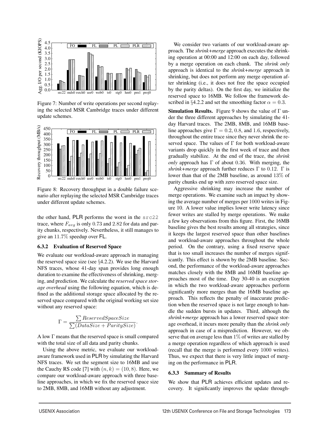![](_page_11_Figure_0.jpeg)

Figure 7: Number of write operations per second replaying the selected MSR Cambridge traces under different update schemes.

![](_page_11_Figure_2.jpeg)

Figure 8: Recovery throughput in a double failure scenario after replaying the selected MSR Cambridge traces under different update schemes.

the other hand, PLR performs the worst in the src22 trace, where  $F_{avg}$  is only 0.73 and 2.82 for data and parity chunks, respectively. Nevertheless, it still manages to give an 11.7% speedup over FL.

#### **6.3.2 Evaluation of Reserved Space**

We evaluate our workload-aware approach in managing the reserved space size (see  $\S 4.2.2$ ). We use the Harvard NFS traces, whose 41-day span provides long enough duration to examine the effectiveness of shrinking, merging, and prediction. We calculate the *reserved space storage overhead* using the following equation, which is defined as the additional storage space allocated by the reserved space compared with the original working set size without any reserved space:

$$
\Gamma = \frac{\sum ReservedSpaceSize}{\sum (DataSize + ParitySize)}.
$$

A low Γ means that the reserved space is small compared with the total size of all data and parity chunks.

Using the above metric, we evaluate our workloadaware framework used in PLR by simulating the Harvard NFS traces. We set the segment size to 16MB and use the Cauchy RS code [7] with  $(n, k) = (10, 8)$ . Here, we compare our workload-aware approach with three baseline approaches, in which we fix the reserved space size to 2MB, 8MB, and 16MB without any adjustment.

We consider two variants of our workload-aware approach. The *shrink+merge* approach executes the shrinking operation at 00:00 and 12:00 on each day, followed by a merge operation on each chunk. The *shrink only* approach is identical to the *shrink+merge* approach in shrinking, but does not perform any merge operation after shrinking (i.e., it does not free the space occupied by the parity deltas). On the first day, we initialize the reserved space to 16MB. We follow the framework described in §4.2.2 and set the smoothing factor  $\alpha = 0.3$ .

**Simulation Results.** Figure 9 shows the value of Γ under the three different approaches by simulating the 41 day Harvard traces. The 2MB, 8MB, and 16MB baseline approaches give  $\Gamma = 0.2, 0.8$ , and 1.6, respectively, throughout the entire trace since they never shrink the reserved space. The values of  $\Gamma$  for both workload-aware variants drop quickly in the first week of trace and then gradually stabilize. At the end of the trace, the *shrink only* approach has Γ of about 0.36. With merging, the *shrink+merge* approach further reduces Γ to 0.12. Γ is lower than that of the 2MB baseline, as around 13% of parity chunks end up with zero reserved space size.

Aggressive shrinking may increase the number of merge operations. We examine such an impact by showing the average number of merges per 1000 writes in Figure 10. A lower value implies lower write latency since fewer writes are stalled by merge operations. We make a few key observations from this figure. First, the 16MB baseline gives the best results among all strategies, since it keeps the largest reserved space than other baselines and workload-aware approaches throughout the whole period. On the contrary, using a fixed reserve space that is too small increases the number of merges significantly. This effect is shown by the 2MB baseline. Second, the performance of the workload-aware approaches matches closely with the 8MB and 16MB baseline approaches most of the time. Day 30-40 is an exception in which the two workload-aware approaches perform significantly more merges than the 16MB baseline approach. This reflects the penalty of inaccurate prediction when the reserved space is not large enough to handle the sudden bursts in updates. Third, although the *shrink+merge* approach has a lower reserved space storage overhead, it incurs more penalty than the *shrink only* approach in case of a misprediction. However, we observe that on average less than  $1\%$  of writes are stalled by a merge operation regardless of which approach is used (recall that the merge is performed every 1000 writes). Thus, we expect that there is very little impact of merging on the performance in PLR.

# **6.3.3 Summary of Results**

We show that PLR achieves efficient updates and recovery. It significantly improves the update through-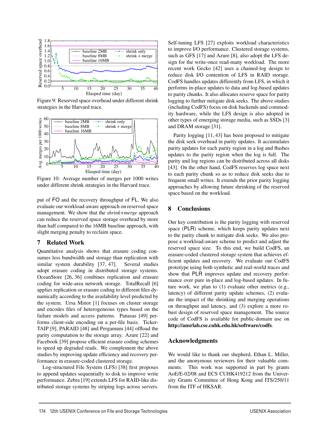![](_page_12_Figure_0.jpeg)

Figure 9: Reserved space overhead under different shrink strategies in the Harvard trace.

![](_page_12_Figure_2.jpeg)

Figure 10: Average number of merges per 1000 writes under different shrink strategies in the Harvard trace.

put of FO and the recovery throughput of FL. We also evaluate our workload-aware approach on reserved space management. We show that the *shrink+merge* approach can reduce the reserved space storage overhead by more than half compared to the 16MB baseline approach, with slight merging penalty to reclaim space.

## **7 Related Work**

Quantitative analysis shows that erasure coding consumes less bandwidth and storage than replication with similar system durability [37, 47]. Several studies adopt erasure coding in distributed storage systems. OceanStore [26, 36] combines replication and erasure coding for wide-area network storage. TotalRecall [6] applies replication or erasure coding to different files dynamically according to the availability level predicted by the system. Ursa Minor [1] focuses on cluster storage and encodes files of heterogeneous types based on the failure models and access patterns. Panasas [49] performs client-side encoding on a per-file basis. Ticker-TAIP [9], PARAID [48] and Pergamum [44] offload the parity computation to the storage array. Azure [22] and Facebook [39] propose efficient erasure coding schemes to speed up degraded reads. We complement the above studies by improving update efficiency and recovery performance in erasure-coded clustered storage.

Log-structured File System (LFS) [38] first proposes to append updates sequentially to disk to improve write performance. Zebra [19] extends LFS for RAID-like distributed storage systems by striping logs across servers.

Self-tuning LFS [27] exploits workload characteristics to improve I/O performance. Clustered storage systems, such as GFS [17] and Azure [8], also adopt the LFS design for the write-once read-many workload. The more recent work Gecko [42] uses a chained-log design to reduce disk I/O contention of LFS in RAID storage. CodFS handles updates differently from LFS, in which it performs in-place updates to data and log-based updates to parity chunks. It also allocates reserve space for parity logging to further mitigate disk seeks. The above studies (including CodFS) focus on disk backends and commodity hardware, while the LFS design is also adopted in other types of emerging storage media, such as SSDs [3] and DRAM storage [31].

Parity logging [11, 43] has been proposed to mitigate the disk seek overhead in parity updates. It accumulates parity updates for each parity region in a log and flushes updates to the parity region when the log is full. The parity and log regions can be distributed across all disks [43]. On the other hand, CodFS reserves log space next to each parity chunk so as to reduce disk seeks due to frequent small writes. It extends the prior parity logging approaches by allowing future shrinking of the reserved space based on the workload.

# **8 Conclusions**

Our key contribution is the parity logging with reserved space (PLR) scheme, which keeps parity updates next to the parity chunk to mitigate disk seeks. We also propose a workload-aware scheme to predict and adjust the reserved space size. To this end, we build CodFS, an erasure-coded clustered storage system that achieves efficient updates and recovery. We evaluate our CodFS prototype using both synthetic and real-world traces and show that PLR improves update and recovery performance over pure in-place and log-based updates. In future work, we plan to (1) evaluate other metrics (e.g., latency) of different parity update schemes, (2) evaluate the impact of the shrinking and merging operations on throughput and latency, and (3) explore a more robust design of reserved space management. The source code of CodFS is available for public-domain use on **http://ansrlab.cse.cuhk.edu.hk/software/codfs**.

## **Acknowledgments**

We would like to thank our shepherd, Ethan L. Miller, and the anonymous reviewers for their valuable comments. This work was supported in part by grants AoE/E-02/08 and ECS CUHK419212 from the University Grants Committee of Hong Kong and ITS/250/11 from the ITF of HKSAR.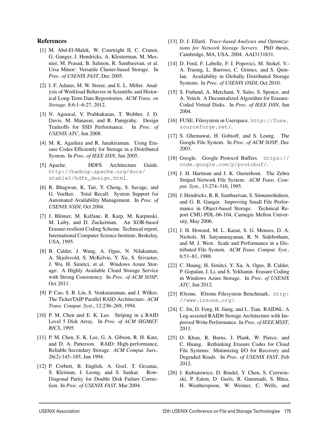## **References**

- [1] M. Abd-El-Malek, W. Courtright II, C. Cranor, G. Ganger, J. Hendricks, A. Klosterman, M. Mesnier, M. Prasad, B. Salmon, R. Sambasivan, et al. Ursa Minor: Versatile Cluster-based Storage. In *Proc. of USENIX FAST*, Dec 2005.
- [2] I. F. Adams, M. W. Storer, and E. L. Miller. Analysis of Workload Behavior in Scientific and Historical Long-Term Data Repositories. *ACM Trans. on Storage*, 8:6:1–6:27, 2012.
- [3] N. Agrawal, V. Prabhakaran, T. Wobber, J. D. Davis, M. Manasse, and R. Panigrahy. Design Tradeoffs for SSD Performance. In *Proc. of USENIX ATC*, Jun 2008.
- [4] M. K. Aguilera and R. Janakiraman. Using Erasure Codes Efficiently for Storage in a Distributed System. In *Proc. of IEEE DSN*, Jun 2005.
- [5] Apache. HDFS Architecture Guide. http://hadoop.apache.org/docs/ stable1/hdfs\_design.html.
- [6] R. Bhagwan, K. Tati, Y. Cheng, S. Savage, and G. Voelker. Total Recall: System Support for Automated Availability Management. In *Proc. of USENIX NSDI*, Oct 2004.
- [7] J. Blömer, M. Kalfane, R. Karp, M. Karpinski, M. Luby, and D. Zuckerman. An XOR-based Erasure-resilient Coding Scheme. Technical report, International Computer Science Institute, Berkeley, USA, 1995.
- [8] B. Calder, J. Wang, A. Ogus, N. Nilakantan, A. Skjolsvold, S. McKelvie, Y. Xu, S. Srivastav, J. Wu, H. Simitci, et al. Windows Azure Storage: A Highly Available Cloud Storage Service with Strong Consistency. In *Proc. of ACM SOSP*, Oct 2011.
- [9] P. Cao, S. B. Lin, S. Venkataraman, and J. Wilkes. The TickerTAIP Parallel RAID Architecture. *ACM Trans. Comput. Syst.*, 12:236–269, 1994.
- [10] P. M. Chen and E. K. Lee. Striping in a RAID Level 5 Disk Array. In *Proc. of ACM SIGMET-RICS*, 1995.
- [11] P. M. Chen, E. K. Lee, G. A. Gibson, R. H. Katz, and D. A. Patterson. RAID: High-performance, Reliable Secondary Storage. *ACM Comput. Surv.*, 26(2):145–185, Jun 1994.
- [12] P. Corbett, B. English, A. Goel, T. Grcanac, S. Kleiman, J. Leong, and S. Sankar. Row-Diagonal Parity for Double Disk Failure Correction. In *Proc. of USENIX FAST*, Mar 2004.
- [13] D. J. Ellard. *Trace-based Analyses and Optimizations for Network Storage Servers*. PhD thesis, Cambridge, MA, USA, 2004. AAI3131831.
- [14] D. Ford, F. Labelle, F. I. Popovici, M. Stokel, V.-A. Truong, L. Barroso, C. Grimes, and S. Quinlan. Availability in Globally Distributed Storage Systems. In *Proc. of USENIX OSDI*, Oct 2010.
- [15] S. Frølund, A. Merchant, Y. Saito, S. Spence, and A. Veitch. A Decentralized Algorithm for Erasure-Coded Virtual Disks. In *Proc. of IEEE DSN*, Jun 2004.
- [16] FUSE. Filesystem in Userspace. http://fuse. sourceforge.net/.
- [17] S. Ghemawat, H. Gobioff, and S. Leung. The Google File System. In *Proc. of ACM SOSP*, Dec 2003.
- [18] Google. Google Protocol Buffers. https:// code.google.com/p/protobuf/.
- [19] J. H. Hartman and J. K. Ousterhout. The Zebra Striped Network File System. *ACM Trans. Comput. Syst.*, 13:274–310, 1995.
- [20] J. Hendricks, R. R. Sambasivan, S. Sinnamohideen, and G. R. Ganger. Improving Small File Performance in Object-based Storage. Technical Report CMU-PDL-06-104, Carnegie Mellon University, May 2006.
- [21] J. H. Howard, M. L. Kazar, S. G. Menees, D. A. Nichols, M. Satyanarayanan, R. N. Sidebotham, and M. J. West. Scale and Performance in a Distributed File System. *ACM Trans. Comput. Syst.*, 6:51–81, 1988.
- [22] C. Huang, H. Simitci, Y. Xu, A. Ogus, B. Calder, P. Gopalan, J. Li, and S. Yekhanin. Erasure Coding in Windows Azure Storage. In *Proc. of USENIX ATC*, Jun 2012.
- [23] IOzone. IOzone Filesystem Benchmark. http: //www.iozone.org/.
- [24] C. Jin, D. Feng, H. Jiang, and L. Tian. RAID6L: A Log-assisted RAID6 Storage Architecture with Improved Write Performance. In *Proc. of IEEE MSST*, 2011.
- [25] O. Khan, R. Burns, J. Plank, W. Pierce, and C. Huang. Rethinking Erasure Codes for Cloud File Systems: Minimizing I/O for Recovery and Degraded Reads. In *Proc. of USENIX FAST*, Feb 2012.
- [26] J. Kubiatowicz, D. Bindel, Y. Chen, S. Czerwinski, P. Eaton, D. Geels, R. Gummadi, S. Rhea, H. Weatherspoon, W. Weimer, C. Wells, and